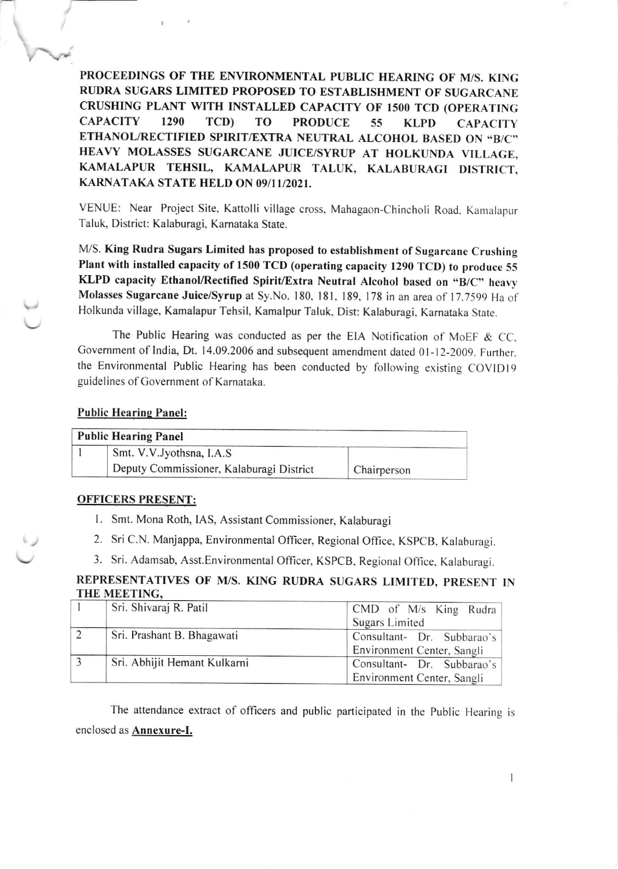PROCEEDINGS OF THE ENVIRONMENTAL PUBLIC HEARING OF M/S. KING RUDRA SUGARS LIMITED PROPOSED TO ESTABLISHMENT OF SUGARCANE CRUSHING PLANT WITH INSTALLED CAPACITY OF I5OO TCD (OPERATING CAPACITY 1290 TCD) TO PRODUCE 55 KLPD CAPACITY ETHANOL/RECTIFIED SPIRIT/EXTRA NEUTRAL ALCOHOL BASED ON "B/C" HEAVY MOLASSES SUGARCANE JUICE/SYRUP AT HOLKUNDA VILLAGE, KAMALAPUR TEHSIL, KAMALAPUR TALUK, KALABURAGI DISTRICT, KARNATAKA STATE HELD ON O9/I1/202I.

VENUE: Near Project Site, Kattolli village cross, Mahagaon-Chincholi Road. Kamalapur Taluk, District: Kalaburagi, Kamataka State.

M/S. King Rudra Sugars Limited has proposed to establishment of Sugarcane Crushing Plant with installed capacity of 1500 TCD (operating capacity 1290 TCD) to produce <sup>55</sup> KLPD capacity Ethanol/Rectified Spirit/Extra Neutral Alcohol based on "B/C" heavy Molasses Sugarcane Juice/Syrup at Sy.No. 180, 181, 189, 178 in an area of 17.7599 Ha of Holkunda village, Kamalapur Tehsil, Kamalpur Taluk, Dist: Kalaburagi, Karnataka Stare.

The Public Hearing was conducted as per the EIA Notification of MoEF & CC. Government of India, Dt. 14.09.2006 and subsequent amendment dated 01-12-2009. Further, the Environmental Public Hearing has been conducted by following existing COVlDlg guidelines of Government of Karnataka.

## Public Hearing Panel:

| <b>Public Hearing Panel</b> |                                          |             |  |  |
|-----------------------------|------------------------------------------|-------------|--|--|
|                             | Smt. V.V. Jyothsna, I.A.S                |             |  |  |
|                             | Deputy Commissioner, Kalaburagi District | Chairperson |  |  |

## OFFICERS PRESENT:

L Smt. Mona Roth, lAS, Assistant Commissioner, Kalaburagi

2. Sri C.N. Manjappa, Environmental Officer, Regional Office, KSpCB. Kalaburagi.

3. Sri. Adamsab, Asst.Environmental Officer, KSPCB, Regional Office, Kalaburagi.

## REPRESENTATIVES OF M/S. KING RUDRA SUGARS LIMITED, PRESENT IN THE MEETING

| Sri. Shivaraj R. Patil       | CMD of $M/s$ King Rudra    |
|------------------------------|----------------------------|
|                              | Sugars Limited             |
| Sri. Prashant B. Bhagawati   | Consultant- Dr. Subbarao's |
|                              | Environment Center, Sangli |
| Sri. Abhijit Hemant Kulkarni | Consultant- Dr. Subbarao's |
|                              | Environment Center, Sangli |

The attendance extract of officers and public participated in the public Hearing is enclosed as Annexure-I.

 $\mathbf{I}$